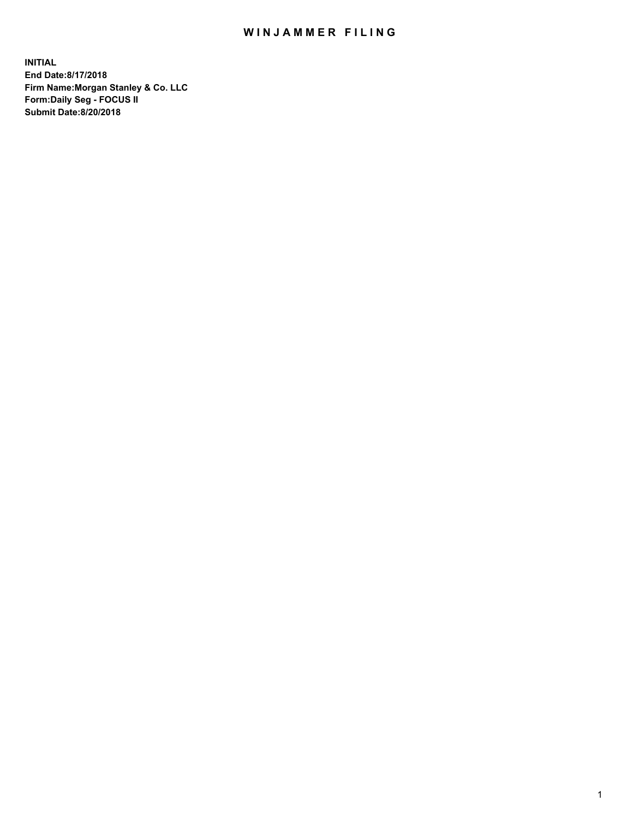## WIN JAMMER FILING

**INITIAL End Date:8/17/2018 Firm Name:Morgan Stanley & Co. LLC Form:Daily Seg - FOCUS II Submit Date:8/20/2018**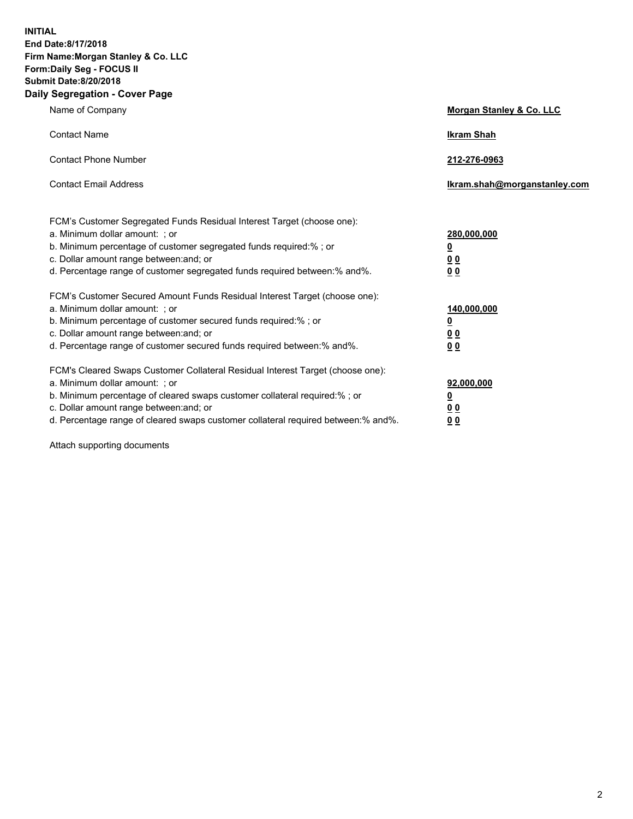**INITIAL End Date:8/17/2018 Firm Name:Morgan Stanley & Co. LLC Form:Daily Seg - FOCUS II Submit Date:8/20/2018 Daily Segregation - Cover Page**

| Name of Company                                                                   | Morgan Stanley & Co. LLC     |
|-----------------------------------------------------------------------------------|------------------------------|
| <b>Contact Name</b>                                                               | <b>Ikram Shah</b>            |
| <b>Contact Phone Number</b>                                                       | 212-276-0963                 |
| <b>Contact Email Address</b>                                                      | Ikram.shah@morganstanley.com |
|                                                                                   |                              |
| FCM's Customer Segregated Funds Residual Interest Target (choose one):            |                              |
| a. Minimum dollar amount: ; or                                                    | 280,000,000                  |
| b. Minimum percentage of customer segregated funds required:% ; or                | <u>0</u>                     |
| c. Dollar amount range between: and; or                                           | 0 <sub>0</sub>               |
| d. Percentage range of customer segregated funds required between:% and%.         | <u>00</u>                    |
| FCM's Customer Secured Amount Funds Residual Interest Target (choose one):        |                              |
| a. Minimum dollar amount: ; or                                                    | 140,000,000                  |
| b. Minimum percentage of customer secured funds required:%; or                    | <u>0</u>                     |
| c. Dollar amount range between: and; or                                           | <u>00</u>                    |
| d. Percentage range of customer secured funds required between: % and %.          | 0 <sub>0</sub>               |
| FCM's Cleared Swaps Customer Collateral Residual Interest Target (choose one):    |                              |
| a. Minimum dollar amount: ; or                                                    | 92,000,000                   |
| b. Minimum percentage of cleared swaps customer collateral required:% ; or        | <u>0</u>                     |
| c. Dollar amount range between: and; or                                           | 00                           |
| d. Percentage range of cleared swaps customer collateral required between:% and%. | 00                           |
|                                                                                   |                              |

Attach supporting documents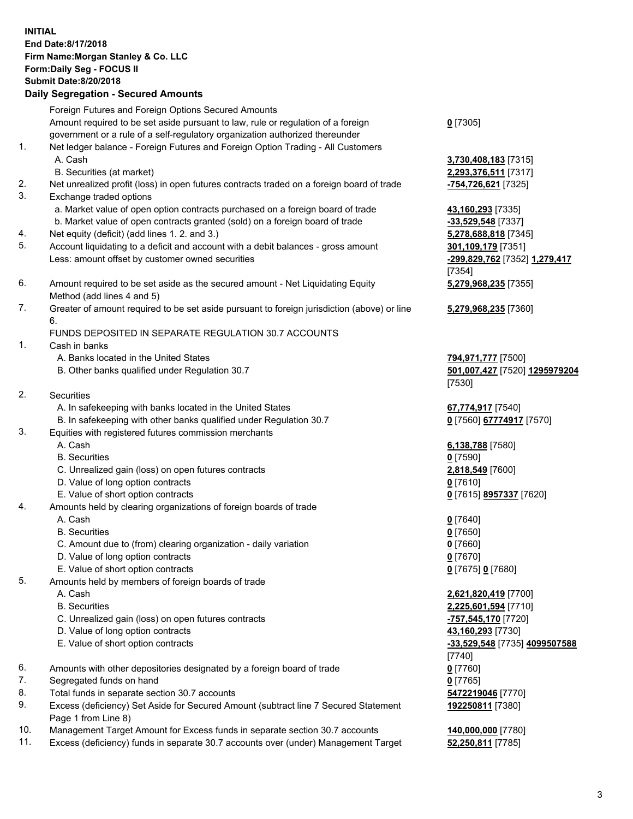## **INITIAL End Date:8/17/2018 Firm Name:Morgan Stanley & Co. LLC Form:Daily Seg - FOCUS II Submit Date:8/20/2018 Daily Segregation - Secured Amounts** Foreign Futures and Foreign Options Secured Amounts Amount required to be set aside pursuant to law, rule or regulation of a foreign government or a rule of a self-regulatory organization authorized thereunder **0** [7305] 1. Net ledger balance - Foreign Futures and Foreign Option Trading - All Customers A. Cash **3,730,408,183** [7315] B. Securities (at market) **2,293,376,511** [7317] 2. Net unrealized profit (loss) in open futures contracts traded on a foreign board of trade **-754,726,621** [7325] 3. Exchange traded options a. Market value of open option contracts purchased on a foreign board of trade **43,160,293** [7335] b. Market value of open contracts granted (sold) on a foreign board of trade **-33,529,548** [7337] 4. Net equity (deficit) (add lines 1. 2. and 3.) **5,278,688,818** [7345] 5. Account liquidating to a deficit and account with a debit balances - gross amount **301,109,179** [7351] Less: amount offset by customer owned securities **-299,829,762** [7352] **1,279,417** [7354] 6. Amount required to be set aside as the secured amount - Net Liquidating Equity Method (add lines 4 and 5) **5,279,968,235** [7355] 7. Greater of amount required to be set aside pursuant to foreign jurisdiction (above) or line 6. **5,279,968,235** [7360] FUNDS DEPOSITED IN SEPARATE REGULATION 30.7 ACCOUNTS 1. Cash in banks A. Banks located in the United States **794,971,777** [7500] B. Other banks qualified under Regulation 30.7 **501,007,427** [7520] **1295979204** [7530] 2. Securities A. In safekeeping with banks located in the United States **67,774,917** [7540] B. In safekeeping with other banks qualified under Regulation 30.7 **0** [7560] **67774917** [7570] 3. Equities with registered futures commission merchants A. Cash **6,138,788** [7580] B. Securities **0** [7590] C. Unrealized gain (loss) on open futures contracts **2,818,549** [7600] D. Value of long option contracts **0** [7610] E. Value of short option contracts **0** [7615] **8957337** [7620] 4. Amounts held by clearing organizations of foreign boards of trade A. Cash **0** [7640] B. Securities **0** [7650] C. Amount due to (from) clearing organization - daily variation **0** [7660] D. Value of long option contracts **0** [7670] E. Value of short option contracts **0** [7675] **0** [7680] 5. Amounts held by members of foreign boards of trade A. Cash **2,621,820,419** [7700] B. Securities **2,225,601,594** [7710] C. Unrealized gain (loss) on open futures contracts **-757,545,170** [7720] D. Value of long option contracts **43,160,293** [7730] E. Value of short option contracts **-33,529,548** [7735] **4099507588** [7740] 6. Amounts with other depositories designated by a foreign board of trade **0** [7760] 7. Segregated funds on hand **0** [7765] 8. Total funds in separate section 30.7 accounts **5472219046** [7770] 9. Excess (deficiency) Set Aside for Secured Amount (subtract line 7 Secured Statement **192250811** [7380]

- Page 1 from Line 8)
- 10. Management Target Amount for Excess funds in separate section 30.7 accounts **140,000,000** [7780]
- 11. Excess (deficiency) funds in separate 30.7 accounts over (under) Management Target **52,250,811** [7785]

3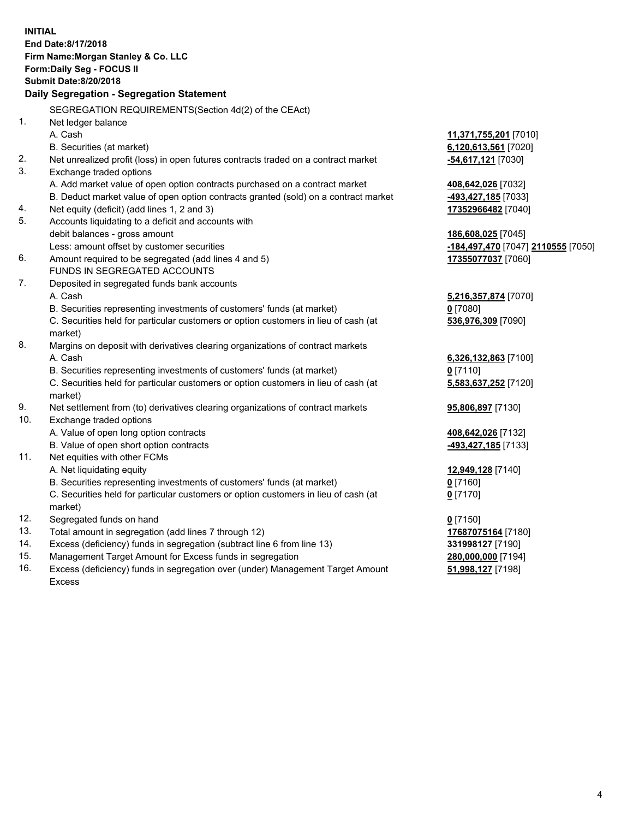|          | <b>INITIAL</b><br>End Date:8/17/2018<br>Firm Name: Morgan Stanley & Co. LLC<br>Form: Daily Seg - FOCUS II<br><b>Submit Date: 8/20/2018</b><br>Daily Segregation - Segregation Statement |                                                          |
|----------|-----------------------------------------------------------------------------------------------------------------------------------------------------------------------------------------|----------------------------------------------------------|
|          |                                                                                                                                                                                         |                                                          |
|          | SEGREGATION REQUIREMENTS(Section 4d(2) of the CEAct)                                                                                                                                    |                                                          |
| 1.       | Net ledger balance                                                                                                                                                                      |                                                          |
|          | A. Cash                                                                                                                                                                                 | 11,371,755,201 [7010]                                    |
|          | B. Securities (at market)                                                                                                                                                               | 6,120,613,561 [7020]                                     |
| 2.       | Net unrealized profit (loss) in open futures contracts traded on a contract market                                                                                                      | -54,617,121 [7030]                                       |
| 3.       | Exchange traded options                                                                                                                                                                 |                                                          |
|          | A. Add market value of open option contracts purchased on a contract market                                                                                                             | 408,642,026 [7032]                                       |
|          | B. Deduct market value of open option contracts granted (sold) on a contract market                                                                                                     | -493,427,185 [7033]                                      |
| 4.<br>5. | Net equity (deficit) (add lines 1, 2 and 3)                                                                                                                                             | 17352966482 [7040]                                       |
|          | Accounts liquidating to a deficit and accounts with<br>debit balances - gross amount                                                                                                    |                                                          |
|          | Less: amount offset by customer securities                                                                                                                                              | 186,608,025 [7045]<br>-184,497,470 [7047] 2110555 [7050] |
| 6.       | Amount required to be segregated (add lines 4 and 5)                                                                                                                                    | 17355077037 [7060]                                       |
|          | FUNDS IN SEGREGATED ACCOUNTS                                                                                                                                                            |                                                          |
| 7.       | Deposited in segregated funds bank accounts                                                                                                                                             |                                                          |
|          | A. Cash                                                                                                                                                                                 | 5,216,357,874 [7070]                                     |
|          | B. Securities representing investments of customers' funds (at market)                                                                                                                  | $0$ [7080]                                               |
|          | C. Securities held for particular customers or option customers in lieu of cash (at                                                                                                     | 536,976,309 [7090]                                       |
|          | market)                                                                                                                                                                                 |                                                          |
| 8.       | Margins on deposit with derivatives clearing organizations of contract markets                                                                                                          |                                                          |
|          | A. Cash                                                                                                                                                                                 | 6,326,132,863 [7100]                                     |
|          | B. Securities representing investments of customers' funds (at market)                                                                                                                  | $0$ [7110]                                               |
|          | C. Securities held for particular customers or option customers in lieu of cash (at                                                                                                     | 5,583,637,252 [7120]                                     |
|          | market)                                                                                                                                                                                 |                                                          |
| 9.       | Net settlement from (to) derivatives clearing organizations of contract markets                                                                                                         | 95,806,897 [7130]                                        |
| 10.      | Exchange traded options                                                                                                                                                                 |                                                          |
|          | A. Value of open long option contracts                                                                                                                                                  | 408,642,026 [7132]                                       |
|          | B. Value of open short option contracts                                                                                                                                                 | 493,427,185 [7133]                                       |
| 11.      | Net equities with other FCMs                                                                                                                                                            |                                                          |
|          | A. Net liquidating equity                                                                                                                                                               | 12,949,128 [7140]                                        |
|          | B. Securities representing investments of customers' funds (at market)                                                                                                                  | 0 [7160]                                                 |
|          | C. Securities held for particular customers or option customers in lieu of cash (at                                                                                                     | $0$ [7170]                                               |
| 12.      | market)<br>Segregated funds on hand                                                                                                                                                     |                                                          |
| 13.      | Total amount in segregation (add lines 7 through 12)                                                                                                                                    | $0$ [7150]                                               |
| 14.      | Excess (deficiency) funds in segregation (subtract line 6 from line 13)                                                                                                                 | 17687075164 [7180]<br>331998127 [7190]                   |
| 15.      | Management Target Amount for Excess funds in segregation                                                                                                                                | 280,000,000 [7194]                                       |
|          |                                                                                                                                                                                         |                                                          |

16. Excess (deficiency) funds in segregation over (under) Management Target Amount Excess

**51,998,127** [7198]